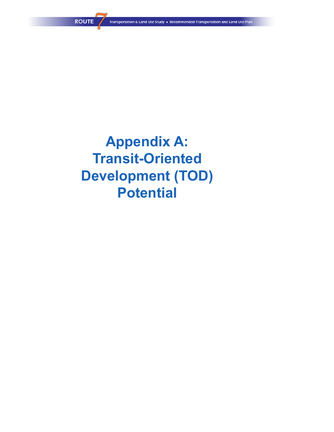**Appendix A: Transit-Oriented Development (TOD) Potential**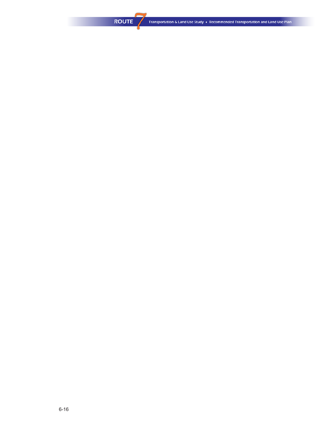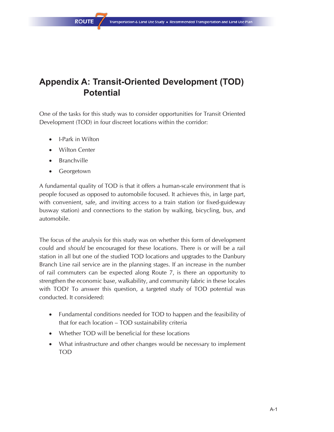# **Appendix A: Transit-Oriented Development (TOD) Potential**

One of the tasks for this study was to consider opportunities for Transit Oriented Development (TOD) in four discreet locations within the corridor:

- • I-Park in Wilton
- Wilton Center
- Branchville
- Georgetown

A fundamental quality of TOD is that it offers a human-scale environment that is people focused as opposed to automobile focused. It achieves this, in large part, with convenient, safe, and inviting access to a train station (or fixed-guideway busway station) and connections to the station by walking, bicycling, bus, and automobile.

The focus of the analysis for this study was on whether this form of development could and *should* be encouraged for these locations. There is or will be a rail station in all but one of the studied TOD locations and upgrades to the Danbury Branch Line rail service are in the planning stages. If an increase in the number of rail commuters can be expected along Route 7, is there an opportunity to strengthen the economic base, walkability, and community fabric in these locales with TOD? To answer this question, a targeted study of TOD potential was conducted. It considered:

- Fundamental conditions needed for TOD to happen and the feasibility of that for each location – TOD sustainability criteria
- Whether TOD will be beneficial for these locations
- What infrastructure and other changes would be necessary to implement TOD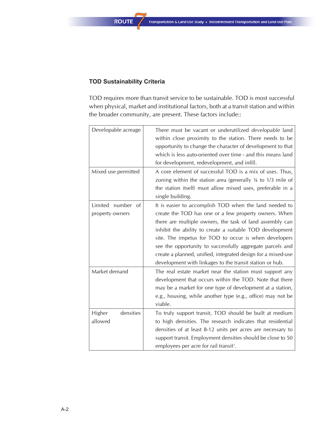## **TOD Sustainability Criteria**

TOD requires more than transit service to be sustainable. TOD is most successful when physical, market and institutional factors, both at a transit station and within the broader community, are present. These factors include::

| Developable acreage  | There must be vacant or underutilized developable land<br>within close proximity to the station. There needs to be        |  |  |
|----------------------|---------------------------------------------------------------------------------------------------------------------------|--|--|
|                      | opportunity to change the character of development to that<br>which is less auto-oriented over time - and this means land |  |  |
|                      |                                                                                                                           |  |  |
|                      | for development, redevelopment, and infill.                                                                               |  |  |
| Mixed use permitted  | A core element of successful TOD is a mix of uses. Thus,                                                                  |  |  |
|                      | zoning within the station area (generally $\frac{1}{4}$ to 1/3 mile of                                                    |  |  |
|                      | the station itself) must allow mixed uses, preferable in a                                                                |  |  |
|                      | single building.                                                                                                          |  |  |
| Limited number<br>of | It is easier to accomplish TOD when the land needed to                                                                    |  |  |
| property owners      | create the TOD has one or a few property owners. When                                                                     |  |  |
|                      | there are multiple owners, the task of land assembly can                                                                  |  |  |
|                      | inhibit the ability to create a suitable TOD development                                                                  |  |  |
|                      | site. The impetus for TOD to occur is when developers                                                                     |  |  |
|                      | see the opportunity to successfully aggregate parcels and                                                                 |  |  |
|                      | create a planned, unified, integrated design for a mixed-use                                                              |  |  |
|                      | development with linkages to the transit station or hub.                                                                  |  |  |
| Market demand        | The real estate market near the station must support any                                                                  |  |  |
|                      | development that occurs within the TOD. Note that there                                                                   |  |  |
|                      | may be a market for one type of development at a station,                                                                 |  |  |
|                      | e.g., housing, while another type (e.g., office) may not be                                                               |  |  |
|                      | viable.                                                                                                                   |  |  |
| densities<br>Higher  | To truly support transit, TOD should be built at medium                                                                   |  |  |
| allowed              | to high densities. The research indicates that residential                                                                |  |  |
|                      | densities of at least 8-12 units per acres are necessary to                                                               |  |  |
|                      | support transit. Employment densities should be close to 50                                                               |  |  |
|                      | employees per acre for rail transit <sup>1</sup> .                                                                        |  |  |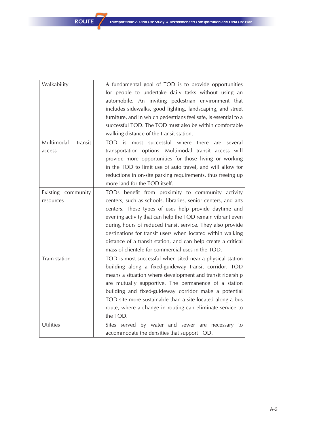| for people to undertake daily tasks without using an<br>automobile. An inviting pedestrian environment that<br>includes sidewalks, good lighting, landscaping, and street<br>furniture, and in which pedestrians feel safe, is essential to a<br>successful TOD. The TOD must also be within comfortable<br>walking distance of the transit station.<br>Multimodal<br>successful where<br>there<br>transit<br>TOD is<br>most |
|------------------------------------------------------------------------------------------------------------------------------------------------------------------------------------------------------------------------------------------------------------------------------------------------------------------------------------------------------------------------------------------------------------------------------|
|                                                                                                                                                                                                                                                                                                                                                                                                                              |
|                                                                                                                                                                                                                                                                                                                                                                                                                              |
|                                                                                                                                                                                                                                                                                                                                                                                                                              |
|                                                                                                                                                                                                                                                                                                                                                                                                                              |
|                                                                                                                                                                                                                                                                                                                                                                                                                              |
|                                                                                                                                                                                                                                                                                                                                                                                                                              |
| several<br>are                                                                                                                                                                                                                                                                                                                                                                                                               |
| transportation options. Multimodal transit access will<br>access                                                                                                                                                                                                                                                                                                                                                             |
| provide more opportunities for those living or working                                                                                                                                                                                                                                                                                                                                                                       |
| in the TOD to limit use of auto travel, and will allow for                                                                                                                                                                                                                                                                                                                                                                   |
| reductions in on-site parking requirements, thus freeing up                                                                                                                                                                                                                                                                                                                                                                  |
| more land for the TOD itself.                                                                                                                                                                                                                                                                                                                                                                                                |
| TODs benefit from proximity to community activity<br>Existing community                                                                                                                                                                                                                                                                                                                                                      |
| centers, such as schools, libraries, senior centers, and arts<br>resources                                                                                                                                                                                                                                                                                                                                                   |
| centers. These types of uses help provide daytime and                                                                                                                                                                                                                                                                                                                                                                        |
| evening activity that can help the TOD remain vibrant even                                                                                                                                                                                                                                                                                                                                                                   |
| during hours of reduced transit service. They also provide                                                                                                                                                                                                                                                                                                                                                                   |
| destinations for transit users when located within walking                                                                                                                                                                                                                                                                                                                                                                   |
| distance of a transit station, and can help create a critical                                                                                                                                                                                                                                                                                                                                                                |
| mass of clientele for commercial uses in the TOD.                                                                                                                                                                                                                                                                                                                                                                            |
| Train station<br>TOD is most successful when sited near a physical station                                                                                                                                                                                                                                                                                                                                                   |
| building along a fixed-guideway transit corridor. TOD                                                                                                                                                                                                                                                                                                                                                                        |
| means a situation where development and transit ridership                                                                                                                                                                                                                                                                                                                                                                    |
| are mutually supportive. The permanence of a station                                                                                                                                                                                                                                                                                                                                                                         |
| building and fixed-guideway corridor make a potential                                                                                                                                                                                                                                                                                                                                                                        |
| TOD site more sustainable than a site located along a bus                                                                                                                                                                                                                                                                                                                                                                    |
| route, where a change in routing can eliminate service to                                                                                                                                                                                                                                                                                                                                                                    |
| the TOD.                                                                                                                                                                                                                                                                                                                                                                                                                     |
| Utilities<br>Sites served by water and sewer are necessary to                                                                                                                                                                                                                                                                                                                                                                |
| accommodate the densities that support TOD.                                                                                                                                                                                                                                                                                                                                                                                  |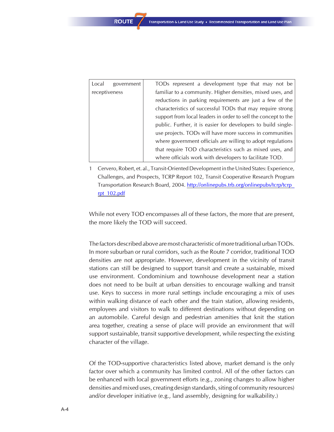| government<br>Local | TODs represent a development type that may not be              |  |  |  |
|---------------------|----------------------------------------------------------------|--|--|--|
| receptiveness       | familiar to a community. Higher densities, mixed uses, and     |  |  |  |
|                     | reductions in parking requirements are just a few of the       |  |  |  |
|                     | characteristics of successful TODs that may require strong     |  |  |  |
|                     | support from local leaders in order to sell the concept to the |  |  |  |
|                     | public. Further, it is easier for developers to build single-  |  |  |  |
|                     | use projects. TODs will have more success in communities       |  |  |  |
|                     | where government officials are willing to adopt regulations    |  |  |  |
|                     | that require TOD characteristics such as mixed uses, and       |  |  |  |
|                     | where officials work with developers to facilitate TOD.        |  |  |  |

1 Cervero, Robert, et. al., Transit-Oriented Development in the United States: Experience, Challenges, and Prospects, TCRP Report 102, Transit Cooperative Research Program Transportation Research Board, 2004. http://onlinepubs.trb.org/onlinepubs/tcrp/tcrp\_ rpt\_102.pdf

While not every TOD encompasses all of these factors, the more that are present, the more likely the TOD will succeed.

The factors described above are most characteristic of more traditional urban TODs. In more suburban or rural corridors, such as the Route 7 corridor, traditional TOD densities are not appropriate. However, development in the vicinity of transit stations can still be designed to support transit and create a sustainable, mixed use environment. Condominium and townhouse development near a station does not need to be built at urban densities to encourage walking and transit use. Keys to success in more rural settings include encouraging a mix of uses within walking distance of each other and the train station, allowing residents, employees and visitors to walk to different destinations without depending on an automobile. Careful design and pedestrian amenities that knit the station area together, creating a sense of place will provide an environment that will support sustainable, transit supportive development, while respecting the existing character of the village.

Of the TOD-supportive characteristics listed above, market demand is the only factor over which a community has limited control. All of the other factors can be enhanced with local government efforts (e.g., zoning changes to allow higher densities and mixed uses, creating design standards, siting of community resources) and/or developer initiative (e.g., land assembly, designing for walkability.)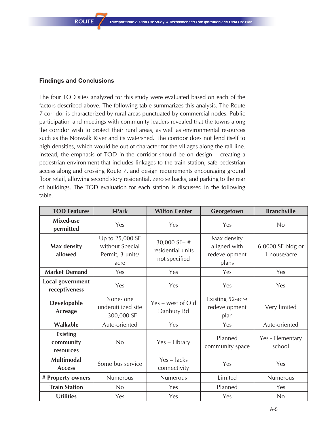## **Findings and Conclusions**

The four TOD sites analyzed for this study were evaluated based on each of the factors described above. The following table summarizes this analysis. The Route 7 corridor is characterized by rural areas punctuated by commercial nodes. Public participation and meetings with community leaders revealed that the towns along the corridor wish to protect their rural areas, as well as environmental resources such as the Norwalk River and its watershed. The corridor does not lend itself to high densities, which would be out of character for the villages along the rail line. Instead, the emphasis of TOD in the corridor should be on design – creating a pedestrian environment that includes linkages to the train station, safe pedestrian access along and crossing Route 7, and design requirements encouraging ground floor retail, allowing second story residential, zero setbacks, and parking to the rear of buildings. The TOD evaluation for each station is discussed in the following table.

| <b>TOD Features</b>                       | <b>I-Park</b>                                                  | <b>Wilton Center</b>                              | Georgetown                                            | <b>Branchville</b>                |
|-------------------------------------------|----------------------------------------------------------------|---------------------------------------------------|-------------------------------------------------------|-----------------------------------|
| Mixed-use<br>permitted                    | Yes                                                            | Yes                                               | Yes                                                   | No                                |
| Max density<br>allowed                    | Up to 25,000 SF<br>without Special<br>Permit; 3 units/<br>acre | 30,000 SF-#<br>residential units<br>not specified | Max density<br>aligned with<br>redevelopment<br>plans | 6,0000 SF bldg or<br>1 house/acre |
| <b>Market Demand</b>                      | Yes                                                            | Yes                                               | Yes                                                   | Yes                               |
| Local government<br>receptiveness         | Yes                                                            | Yes                                               | Yes                                                   | Yes                               |
| <b>Developable</b><br>Acreage             | None-one<br>underutilized site<br>$-300,000$ SF                | Yes – west of Old<br>Danbury Rd                   | Existing 52-acre<br>redevelopment<br>plan             | Very limited                      |
| Walkable                                  | Auto-oriented                                                  | Yes                                               | Yes                                                   | Auto-oriented                     |
| <b>Existing</b><br>community<br>resources | No                                                             | Yes - Library                                     | Planned<br>community space                            | Yes - Elementary<br>school        |
| <b>Multimodal</b><br><b>Access</b>        | Some bus service                                               | $Yes - lacks$<br>connectivity                     | Yes                                                   | Yes                               |
| # Property owners                         | Numerous                                                       | Numerous                                          | Limited                                               | Numerous                          |
| <b>Train Station</b>                      | No                                                             | Yes                                               | Planned                                               | Yes                               |
| <b>Utilities</b>                          | Yes                                                            | Yes                                               | Yes                                                   | No                                |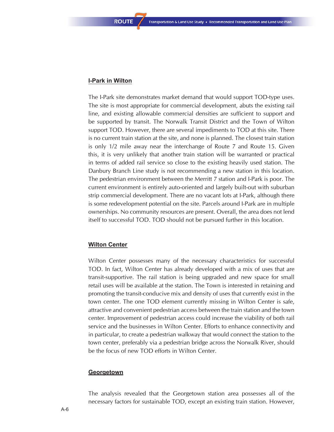#### **I-Park in Wilton**

The I-Park site demonstrates market demand that would support TOD-type uses. The site is most appropriate for commercial development, abuts the existing rail line, and existing allowable commercial densities are sufficient to support and be supported by transit. The Norwalk Transit District and the Town of Wilton support TOD. However, there are several impediments to TOD at this site. There is no current train station at the site, and none is planned. The closest train station is only 1/2 mile away near the interchange of Route 7 and Route 15. Given this, it is very unlikely that another train station will be warranted or practical in terms of added rail service so close to the existing heavily used station. The Danbury Branch Line study is not recommending a new station in this location. The pedestrian environment between the Merritt 7 station and I-Park is poor. The current environment is entirely auto-oriented and largely built-out with suburban strip commercial development. There are no vacant lots at I-Park, although there is some redevelopment potential on the site. Parcels around I-Park are in multiple ownerships. No community resources are present. Overall, the area does not lend itself to successful TOD. TOD should not be pursued further in this location.

## **Wilton Center**

Wilton Center possesses many of the necessary characteristics for successful TOD. In fact, Wilton Center has already developed with a mix of uses that are transit-supportive. The rail station is being upgraded and new space for small retail uses will be available at the station. The Town is interested in retaining and promoting the transit-conducive mix and density of uses that currently exist in the town center. The one TOD element currently missing in Wilton Center is safe, attractive and convenient pedestrian access between the train station and the town center. Improvement of pedestrian access could increase the viability of both rail service and the businesses in Wilton Center. Efforts to enhance connectivity and in particular, to create a pedestrian walkway that would connect the station to the town center, preferably via a pedestrian bridge across the Norwalk River, should be the focus of new TOD efforts in Wilton Center.

## **Georgetown**

The analysis revealed that the Georgetown station area possesses all of the necessary factors for sustainable TOD, except an existing train station. However,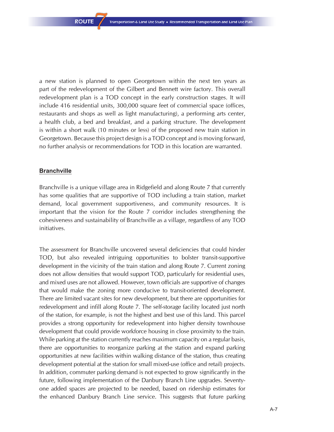a new station is planned to open Georgetown within the next ten years as part of the redevelopment of the Gilbert and Bennett wire factory. This overall redevelopment plan is a TOD concept in the early construction stages. It will include 416 residential units, 300,000 square feet of commercial space (offices, restaurants and shops as well as light manufacturing), a performing arts center, a health club, a bed and breakfast, and a parking structure. The development is within a short walk (10 minutes or less) of the proposed new train station in Georgetown. Because this project design is a TOD concept and is moving forward, no further analysis or recommendations for TOD in this location are warranted.

## **Branchville**

Branchville is a unique village area in Ridgefield and along Route 7 that currently has some qualities that are supportive of TOD including a train station, market demand, local government supportiveness, and community resources. It is important that the vision for the Route 7 corridor includes strengthening the cohesiveness and sustainability of Branchville as a village, regardless of any TOD initiatives.

The assessment for Branchville uncovered several deficiencies that could hinder TOD, but also revealed intriguing opportunities to bolster transit-supportive development in the vicinity of the train station and along Route 7. Current zoning does not allow densities that would support TOD, particularly for residential uses, and mixed uses are not allowed. However, town officials are supportive of changes that would make the zoning more conducive to transit-oriented development. There are limited vacant sites for new development, but there are opportunities for redevelopment and infill along Route 7. The self-storage facility located just north of the station, for example, is not the highest and best use of this land. This parcel provides a strong opportunity for redevelopment into higher density townhouse development that could provide workforce housing in close proximity to the train. While parking at the station currently reaches maximum capacity on a regular basis, there are opportunities to reorganize parking at the station and expand parking opportunities at new facilities within walking distance of the station, thus creating development potential at the station for small mixed-use (office and retail) projects. In addition, commuter parking demand is not expected to grow significantly in the future, following implementation of the Danbury Branch Line upgrades. Seventyone added spaces are projected to be needed, based on ridership estimates for the enhanced Danbury Branch Line service. This suggests that future parking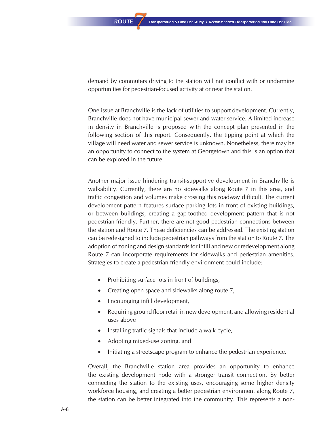demand by commuters driving to the station will not conflict with or undermine opportunities for pedestrian-focused activity at or near the station.

One issue at Branchville is the lack of utilities to support development. Currently, Branchville does not have municipal sewer and water service. A limited increase in density in Branchville is proposed with the concept plan presented in the following section of this report. Consequently, the tipping point at which the village will need water and sewer service is unknown. Nonetheless, there may be an opportunity to connect to the system at Georgetown and this is an option that can be explored in the future.

Another major issue hindering transit-supportive development in Branchville is walkability. Currently, there are no sidewalks along Route 7 in this area, and traffic congestion and volumes make crossing this roadway difficult. The current development pattern features surface parking lots in front of existing buildings, or between buildings, creating a gap-toothed development pattern that is not pedestrian-friendly. Further, there are not good pedestrian connections between the station and Route 7. These deficiencies can be addressed. The existing station can be redesigned to include pedestrian pathways from the station to Route 7. The adoption of zoning and design standards for infill and new or redevelopment along Route 7 can incorporate requirements for sidewalks and pedestrian amenities. Strategies to create a pedestrian-friendly environment could include:

- **Prohibiting surface lots in front of buildings,**
- Creating open space and sidewalks along route 7,
- Encouraging infill development,
- Requiring ground floor retail in new development, and allowing residential uses above
- Installing traffic signals that include a walk cycle,
- Adopting mixed-use zoning, and
- Initiating a streetscape program to enhance the pedestrian experience.

Overall, the Branchville station area provides an opportunity to enhance the existing development node with a stronger transit connection. By better connecting the station to the existing uses, encouraging some higher density workforce housing, and creating a better pedestrian environment along Route 7, the station can be better integrated into the community. This represents a non